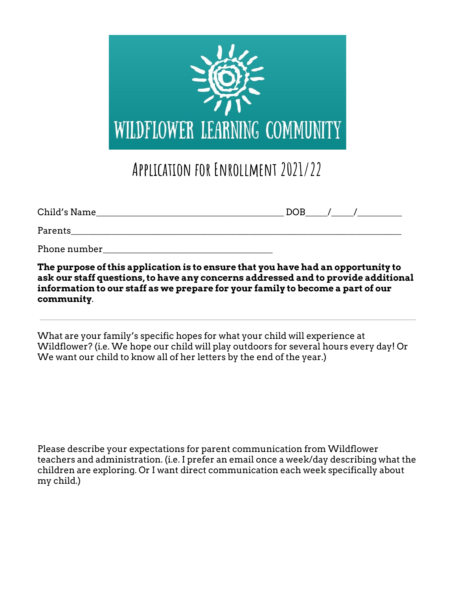

## **Application for Enrollment 2021/22**

| Child's Name | <b>DOB</b> |  |
|--------------|------------|--|
| Parents      |            |  |
| Phone number |            |  |

**The purpose of this application is to ensure that you have had an opportunity to ask our staff questions, to have any concerns addressed and to provide additional information to our staff as we prepare for your family to become a part of our community**.

What are your family's specific hopes for what your child will experience at Wildflower? (i.e. We hope our child will play outdoors for several hours every day! Or We want our child to know all of her letters by the end of the year.)

Please describe your expectations for parent communication from Wildflower teachers and administration. (i.e. I prefer an email once a week/day describing what the children are exploring. Or I want direct communication each week specifically about my child.)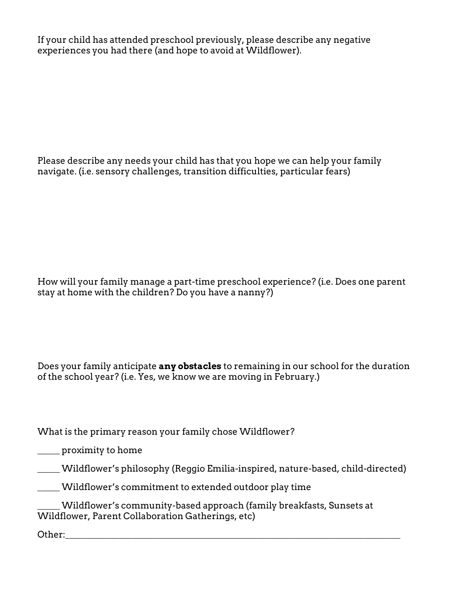If your child has attended preschool previously, please describe any negative experiences you had there (and hope to avoid at Wildflower).

Please describe any needs your child has that you hope we can help your family navigate. (i.e. sensory challenges, transition difficulties, particular fears)

How will your family manage a part-time preschool experience? (i.e. Does one parent stay at home with the children? Do you have a nanny?)

Does your family anticipate **any obstacles** to remaining in our school for the duration of the school year? (i.e. Yes, we know we are moving in February.)

What is the primary reason your family chose Wildflower?

\_\_\_\_\_ proximity to home

\_\_\_\_\_ Wildflower's philosophy (Reggio Emilia-inspired, nature-based, child-directed)

\_\_\_\_\_ Wildflower's commitment to extended outdoor play time

Wildflower's community-based approach (family breakfasts, Sunsets at Wildflower, Parent Collaboration Gatherings, etc)

Other:\_\_\_\_\_\_\_\_\_\_\_\_\_\_\_\_\_\_\_\_\_\_\_\_\_\_\_\_\_\_\_\_\_\_\_\_\_\_\_\_\_\_\_\_\_\_\_\_\_\_\_\_\_\_\_\_\_\_\_\_\_\_\_\_\_\_\_\_\_\_\_\_\_\_\_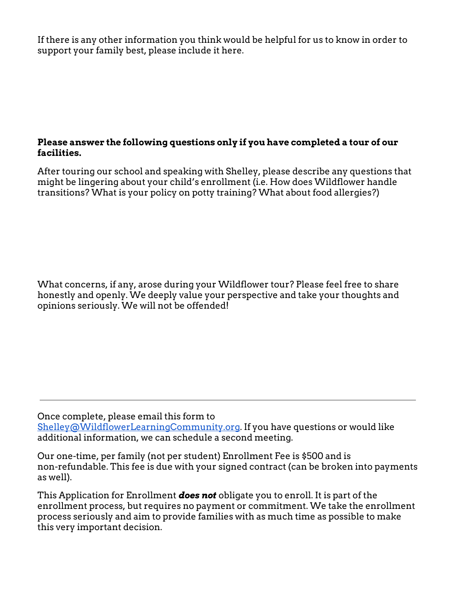If there is any other information you think would be helpful for us to know in order to support your family best, please include it here.

## **Please answer the following questions only if you have completed a tour of our facilities.**

After touring our school and speaking with Shelley, please describe any questions that might be lingering about your child's enrollment (i.e. How does Wildflower handle transitions? What is your policy on potty training? What about food allergies?)

What concerns, if any, arose during your Wildflower tour? Please feel free to share honestly and openly. We deeply value your perspective and take your thoughts and opinions seriously. We will not be offended!

## Once complete, please email this form to

[Shelley@WildflowerLearningCommunity.org](mailto:Shelley@WildflowerLearningCommunity.org). If you have questions or would like additional information, we can schedule a second meeting.

Our one-time, per family (not per student) Enrollment Fee is \$500 and is non-refundable. This fee is due with your signed contract (can be broken into payments as well).

This Application for Enrollment *does not* obligate you to enroll. It is part of the enrollment process, but requires no payment or commitment. We take the enrollment process seriously and aim to provide families with as much time as possible to make this very important decision.